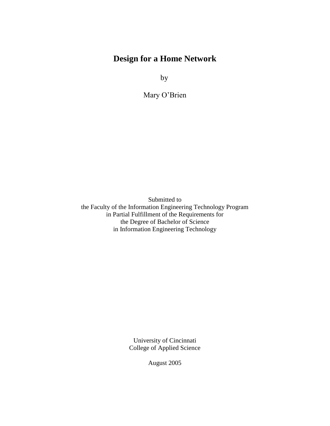# **Design for a Home Network**

by

Mary O'Brien

Submitted to the Faculty of the Information Engineering Technology Program in Partial Fulfillment of the Requirements for the Degree of Bachelor of Science in Information Engineering Technology

> University of Cincinnati College of Applied Science

> > August 2005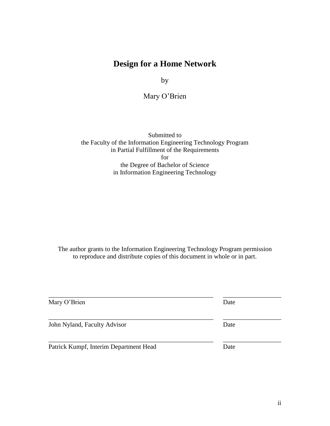# **Design for a Home Network**

by

Mary O'Brien

Submitted to the Faculty of the Information Engineering Technology Program in Partial Fulfillment of the Requirements for the Degree of Bachelor of Science in Information Engineering Technology

The author grants to the Information Engineering Technology Program permission to reproduce and distribute copies of this document in whole or in part.

\_\_\_\_\_\_\_\_\_\_\_\_\_\_\_\_\_\_\_\_\_\_\_\_\_\_\_\_\_\_\_\_\_\_\_\_\_\_\_\_\_\_\_\_\_\_\_\_\_\_\_ \_\_\_\_\_\_\_\_\_\_\_\_\_\_\_\_\_\_

\_\_\_\_\_\_\_\_\_\_\_\_\_\_\_\_\_\_\_\_\_\_\_\_\_\_\_\_\_\_\_\_\_\_\_\_\_\_\_\_\_\_\_\_\_\_\_\_\_\_\_ \_\_\_\_\_\_\_\_\_\_\_\_\_\_\_\_\_\_

\_\_\_\_\_\_\_\_\_\_\_\_\_\_\_\_\_\_\_\_\_\_\_\_\_\_\_\_\_\_\_\_\_\_\_\_\_\_\_\_\_\_\_\_\_\_\_\_\_\_\_ \_\_\_\_\_\_\_\_\_\_\_\_\_\_\_\_\_\_ Mary O'Brien Date

John Nyland, Faculty Advisor Date

Patrick Kumpf, Interim Department Head Date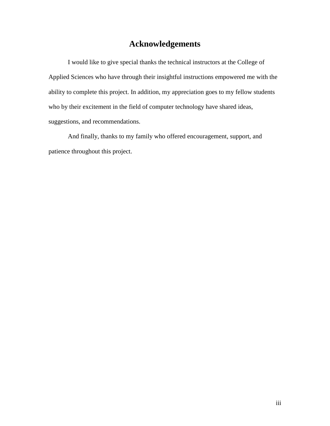# **Acknowledgements**

I would like to give special thanks the technical instructors at the College of Applied Sciences who have through their insightful instructions empowered me with the ability to complete this project. In addition, my appreciation goes to my fellow students who by their excitement in the field of computer technology have shared ideas, suggestions, and recommendations.

And finally, thanks to my family who offered encouragement, support, and patience throughout this project.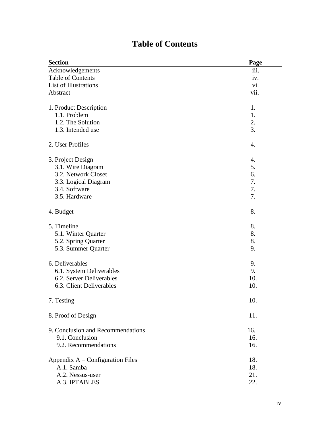# **Table of Contents**

| <b>Section</b>                    | Page |
|-----------------------------------|------|
| Acknowledgements                  | iii. |
| <b>Table of Contents</b>          | iv.  |
| List of Illustrations             | vi.  |
| Abstract                          | vii. |
| 1. Product Description            | 1.   |
| 1.1. Problem                      | 1.   |
| 1.2. The Solution                 | 2.   |
| 1.3. Intended use                 | 3.   |
| 2. User Profiles                  | 4.   |
| 3. Project Design                 | 4.   |
| 3.1. Wire Diagram                 | 5.   |
| 3.2. Network Closet               | 6.   |
| 3.3. Logical Diagram              | 7.   |
| 3.4. Software                     | 7.   |
| 3.5. Hardware                     | 7.   |
| 4. Budget                         | 8.   |
| 5. Timeline                       | 8.   |
| 5.1. Winter Quarter               | 8.   |
| 5.2. Spring Quarter               | 8.   |
| 5.3. Summer Quarter               | 9.   |
| 6. Deliverables                   | 9.   |
| 6.1. System Deliverables          | 9.   |
| 6.2. Server Deliverables          | 10.  |
| 6.3. Client Deliverables          | 10.  |
| 7. Testing                        | 10.  |
| 8. Proof of Design                | 11.  |
| 9. Conclusion and Recommendations | 16.  |
| 9.1. Conclusion                   | 16.  |
| 9.2. Recommendations              | 16.  |
| Appendix A - Configuration Files  | 18.  |
| A.1. Samba                        | 18.  |
| A.2. Nessus-user                  | 21.  |
| A.3. IPTABLES                     | 22.  |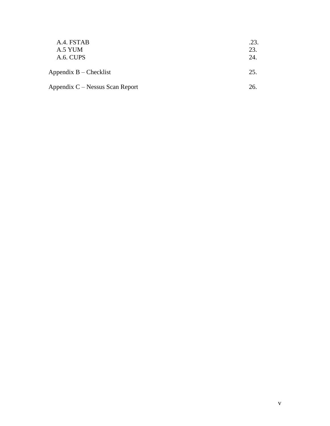| A.4. FSTAB<br>A.5 YUM<br>A.6. CUPS | .23.<br>23.<br>24. |
|------------------------------------|--------------------|
| Appendix $B -$ Checklist           | 25.                |
| Appendix C – Nessus Scan Report    | 26.                |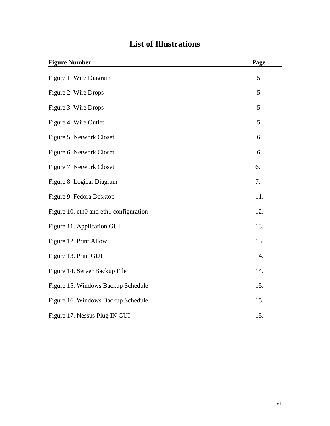| <b>Figure Number</b>                   | Page |
|----------------------------------------|------|
| Figure 1. Wire Diagram                 | 5.   |
| Figure 2. Wire Drops                   | 5.   |
| Figure 3. Wire Drops                   | 5.   |
| Figure 4. Wire Outlet                  | 5.   |
| Figure 5. Network Closet               | 6.   |
| Figure 6. Network Closet               | 6.   |
| Figure 7. Network Closet               | 6.   |
| Figure 8. Logical Diagram              | 7.   |
| Figure 9. Fedora Desktop               | 11.  |
| Figure 10. eth0 and eth1 configuration | 12.  |
| Figure 11. Application GUI             | 13.  |
| Figure 12. Print Allow                 | 13.  |
| Figure 13. Print GUI                   | 14.  |
| Figure 14. Server Backup File          | 14.  |
| Figure 15. Windows Backup Schedule     | 15.  |
| Figure 16. Windows Backup Schedule     | 15.  |
| Figure 17. Nessus Plug IN GUI          | 15.  |

# **List of Illustrations**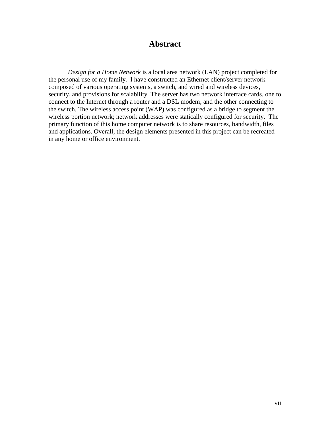# **Abstract**

*Design for a Home Network* is a local area network (LAN) project completed for the personal use of my family. I have constructed an Ethernet client/server network composed of various operating systems, a switch, and wired and wireless devices, security, and provisions for scalability. The server has two network interface cards, one to connect to the Internet through a router and a DSL modem, and the other connecting to the switch. The wireless access point (WAP) was configured as a bridge to segment the wireless portion network; network addresses were statically configured for security. The primary function of this home computer network is to share resources, bandwidth, files and applications. Overall, the design elements presented in this project can be recreated in any home or office environment.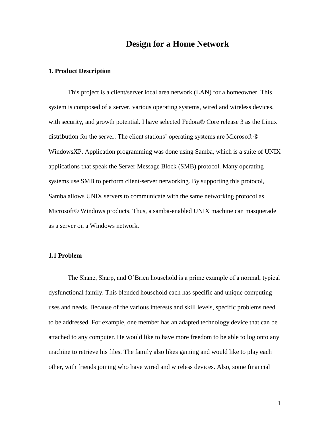# **Design for a Home Network**

#### **1. Product Description**

This project is a client/server local area network (LAN) for a homeowner. This system is composed of a server, various operating systems, wired and wireless devices, with security, and growth potential. I have selected Fedora® Core release 3 as the Linux distribution for the server. The client stations' operating systems are Microsoft ® WindowsXP. Application programming was done using Samba, which is a suite of UNIX applications that speak the Server Message Block (SMB) protocol. Many operating systems use SMB to perform client-server networking. By supporting this protocol, Samba allows UNIX servers to communicate with the same networking protocol as Microsoft® Windows products. Thus, a samba-enabled UNIX machine can masquerade as a server on a Windows network.

#### **1.1 Problem**

The Shane, Sharp, and O'Brien household is a prime example of a normal, typical dysfunctional family. This blended household each has specific and unique computing uses and needs. Because of the various interests and skill levels, specific problems need to be addressed. For example, one member has an adapted technology device that can be attached to any computer. He would like to have more freedom to be able to log onto any machine to retrieve his files. The family also likes gaming and would like to play each other, with friends joining who have wired and wireless devices. Also, some financial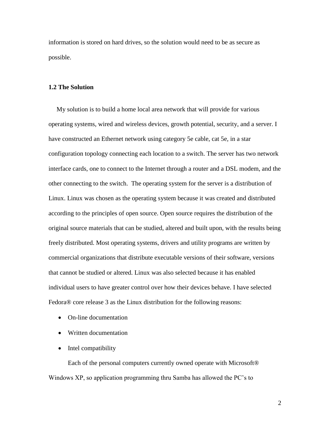information is stored on hard drives, so the solution would need to be as secure as possible.

#### **1.2 The Solution**

 My solution is to build a home local area network that will provide for various operating systems, wired and wireless devices, growth potential, security, and a server. I have constructed an Ethernet network using category 5e cable, cat 5e, in a star configuration topology connecting each location to a switch. The server has two network interface cards, one to connect to the Internet through a router and a DSL modem, and the other connecting to the switch. The operating system for the server is a distribution of Linux. Linux was chosen as the operating system because it was created and distributed according to the principles of open source. Open source requires the distribution of the original source materials that can be studied, altered and built upon, with the results being freely distributed. Most operating systems, drivers and utility programs are written by commercial organizations that distribute executable versions of their software, versions that cannot be studied or altered. Linux was also selected because it has enabled individual users to have greater control over how their devices behave. I have selected Fedora® core release 3 as the Linux distribution for the following reasons:

- On-line documentation
- Written documentation
- Intel compatibility

Each of the personal computers currently owned operate with Microsoft® Windows XP, so application programming thru Samba has allowed the PC's to

2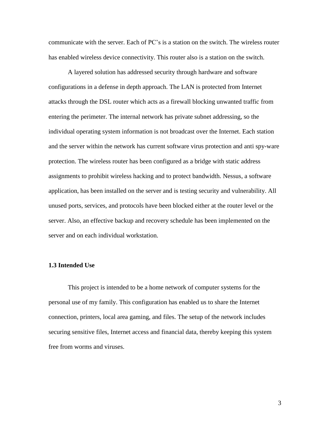communicate with the server. Each of PC's is a station on the switch. The wireless router has enabled wireless device connectivity. This router also is a station on the switch.

A layered solution has addressed security through hardware and software configurations in a defense in depth approach. The LAN is protected from Internet attacks through the DSL router which acts as a firewall blocking unwanted traffic from entering the perimeter. The internal network has private subnet addressing, so the individual operating system information is not broadcast over the Internet. Each station and the server within the network has current software virus protection and anti spy-ware protection. The wireless router has been configured as a bridge with static address assignments to prohibit wireless hacking and to protect bandwidth. Nessus, a software application, has been installed on the server and is testing security and vulnerability. All unused ports, services, and protocols have been blocked either at the router level or the server. Also, an effective backup and recovery schedule has been implemented on the server and on each individual workstation.

#### **1.3 Intended Use**

This project is intended to be a home network of computer systems for the personal use of my family. This configuration has enabled us to share the Internet connection, printers, local area gaming, and files. The setup of the network includes securing sensitive files, Internet access and financial data, thereby keeping this system free from worms and viruses.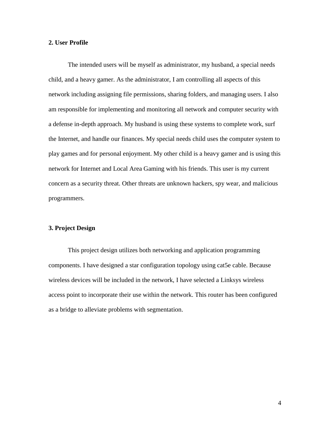#### **2. User Profile**

The intended users will be myself as administrator, my husband, a special needs child, and a heavy gamer. As the administrator, I am controlling all aspects of this network including assigning file permissions, sharing folders, and managing users. I also am responsible for implementing and monitoring all network and computer security with a defense in-depth approach. My husband is using these systems to complete work, surf the Internet, and handle our finances. My special needs child uses the computer system to play games and for personal enjoyment. My other child is a heavy gamer and is using this network for Internet and Local Area Gaming with his friends. This user is my current concern as a security threat. Other threats are unknown hackers, spy wear, and malicious programmers.

#### **3. Project Design**

This project design utilizes both networking and application programming components. I have designed a star configuration topology using cat5e cable. Because wireless devices will be included in the network, I have selected a Linksys wireless access point to incorporate their use within the network. This router has been configured as a bridge to alleviate problems with segmentation.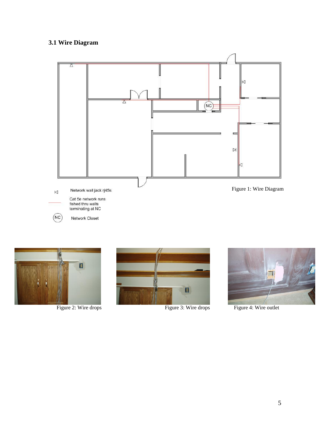# **3.1 Wire Diagram**







Figure 2: Wire drops Figure 3: Wire drops Figure 4: Wire outlet

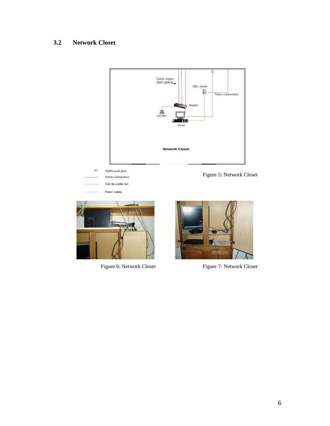# **3.2 Network Closet**





Figure 6: Network Closet Figure 7: Network Closet

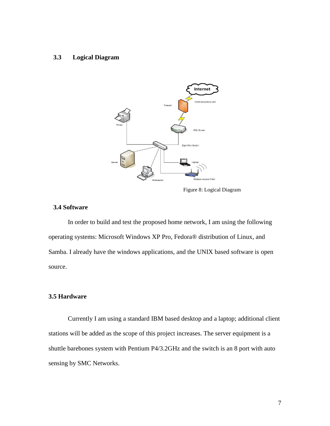#### **3.3 Logical Diagram**



Figure 8: Logical Diagram

### **3.4 Software**

In order to build and test the proposed home network, I am using the following operating systems: Microsoft Windows XP Pro, Fedora® distribution of Linux, and Samba. I already have the windows applications, and the UNIX based software is open source.

### **3.5 Hardware**

Currently I am using a standard IBM based desktop and a laptop; additional client stations will be added as the scope of this project increases. The server equipment is a shuttle barebones system with Pentium P4/3.2GHz and the switch is an 8 port with auto sensing by SMC Networks.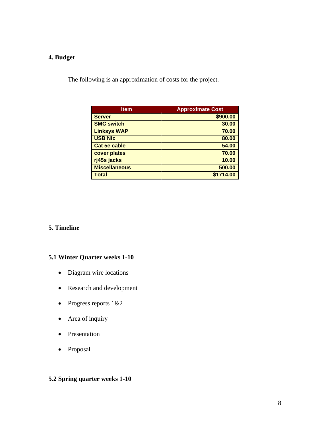# **4. Budget**

The following is an approximation of costs for the project.

| <b>Item</b>          | <b>Approximate Cost</b> |
|----------------------|-------------------------|
| <b>Server</b>        | \$900.00                |
| <b>SMC switch</b>    | 30.00                   |
| <b>Linksys WAP</b>   | 70.00                   |
| <b>USB Nic</b>       | 80.00                   |
| <b>Cat 5e cable</b>  | 54.00                   |
| cover plates         | 70.00                   |
| rj45s jacks          | 10.00                   |
| <b>Miscellaneous</b> | 500.00                  |
| <b>Total</b>         | \$1714.00               |

## **5. Timeline**

### **5.1 Winter Quarter weeks 1-10**

- Diagram wire locations
- Research and development
- Progress reports 1&2
- Area of inquiry
- Presentation
- Proposal

## **5.2 Spring quarter weeks 1-10**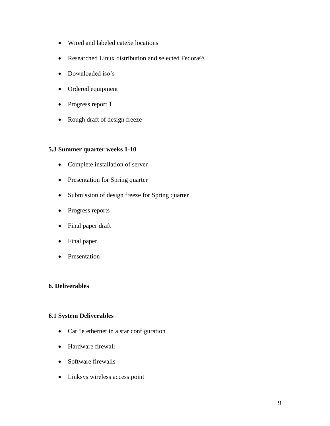- Wired and labeled cate5e locations
- Researched Linux distribution and selected Fedora®
- Downloaded iso's
- Ordered equipment
- Progress report 1
- Rough draft of design freeze

## **5.3 Summer quarter weeks 1-10**

- Complete installation of server
- Presentation for Spring quarter
- Submission of design freeze for Spring quarter
- Progress reports
- Final paper draft
- Final paper
- Presentation

#### **6. Deliverables**

### **6.1 System Deliverables**

- Cat 5e ethernet in a star configuration
- Hardware firewall
- Software firewalls
- Linksys wireless access point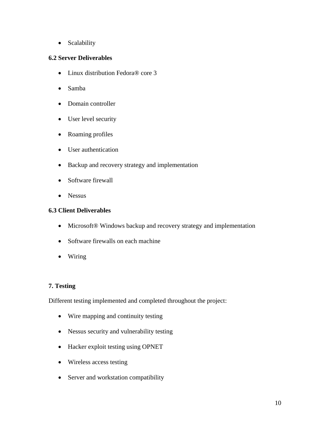• Scalability

### **6.2 Server Deliverables**

- Linux distribution Fedora® core 3
- Samba
- Domain controller
- User level security
- Roaming profiles
- User authentication
- Backup and recovery strategy and implementation
- Software firewall
- Nessus

### **6.3 Client Deliverables**

- Microsoft® Windows backup and recovery strategy and implementation
- Software firewalls on each machine
- Wiring

# **7. Testing**

Different testing implemented and completed throughout the project:

- Wire mapping and continuity testing
- Nessus security and vulnerability testing
- Hacker exploit testing using OPNET
- Wireless access testing
- Server and workstation compatibility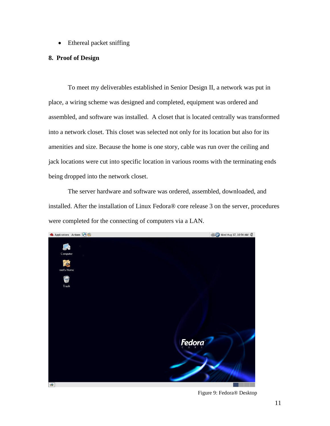• Ethereal packet sniffing

#### **8. Proof of Design**

To meet my deliverables established in Senior Design II, a network was put in place, a wiring scheme was designed and completed, equipment was ordered and assembled, and software was installed. A closet that is located centrally was transformed into a network closet. This closet was selected not only for its location but also for its amenities and size. Because the home is one story, cable was run over the ceiling and jack locations were cut into specific location in various rooms with the terminating ends being dropped into the network closet.

The server hardware and software was ordered, assembled, downloaded, and installed. After the installation of Linux Fedora® core release 3 on the server, procedures were completed for the connecting of computers via a LAN.



Figure 9: Fedora® Desktop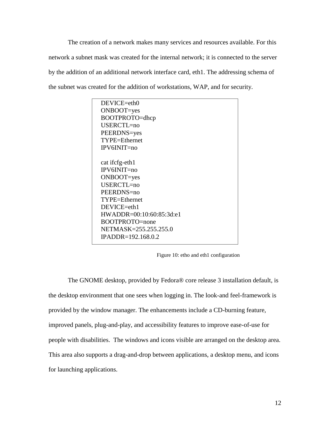The creation of a network makes many services and resources available. For this network a subnet mask was created for the internal network; it is connected to the server by the addition of an additional network interface card, eth1. The addressing schema of the subnet was created for the addition of workstations, WAP, and for security.



Figure 10: etho and eth1 configuration

The GNOME desktop, provided by Fedora® core release 3 installation default, is the desktop environment that one sees when logging in. The look-and feel-framework is provided by the window manager. The enhancements include a CD-burning feature, improved panels, plug-and-play, and accessibility features to improve ease-of-use for people with disabilities. The windows and icons visible are arranged on the desktop area. This area also supports a drag-and-drop between applications, a desktop menu, and icons for launching applications.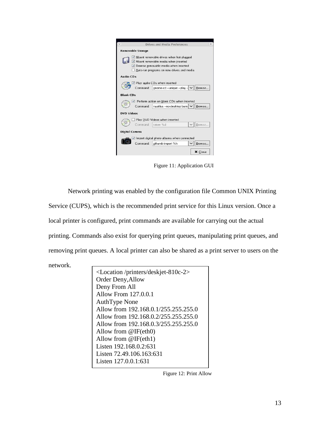

Figure 11: Application GUI

Network printing was enabled by the configuration file Common UNIX Printing Service (CUPS), which is the recommended print service for this Linux version. Once a local printer is configured, print commands are available for carrying out the actual printing. Commands also exist for querying print queues, manipulating print queues, and removing print queues. A local printer can also be shared as a print server to users on the network.

<Location /printers/deskjet-810c-2> Order Deny,Allow Deny From All Allow From 127.0.0.1 AuthType None Allow from 192.168.0.1/255.255.255.0 Allow from 192.168.0.2/255.255.255.0 Allow from 192.168.0.3/255.255.255.0 Allow from @IF(eth0) Allow from @IF(eth1) Listen 192.168.0.2:631 Listen 72.49.106.163:631 Listen 127.0.0.1:631

Figure 12: Print Allow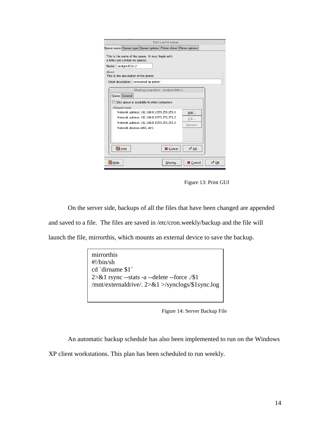|                      |                                             |                                                                                                                                                                                                                                               | Edit a print queue |                       | $\boldsymbol{\varkappa}$ |
|----------------------|---------------------------------------------|-----------------------------------------------------------------------------------------------------------------------------------------------------------------------------------------------------------------------------------------------|--------------------|-----------------------|--------------------------|
|                      |                                             | Queue name Queue type Queue options Printer driver Driver options                                                                                                                                                                             |                    |                       |                          |
| Name: deskjet-810c-2 | a letter and contain no spaces.             | This is the name of the queue. It must begin with                                                                                                                                                                                             |                    |                       |                          |
| About                | This is the description of the printer.     |                                                                                                                                                                                                                                               |                    |                       |                          |
|                      |                                             | Short description: networked hp printer                                                                                                                                                                                                       |                    |                       |                          |
| Queue General        | Allowed hosts<br>Network devices eth0, eth1 | Sharing properties - deskjet-810c-2<br>$\sqrt{\phantom{a}}$ This queue is available to other computers<br>Network address 192.168.0.1/255.255.255.0<br>Network address 192.168.0.2/255.255.255.0<br>Network address 192.168.0.3/255.255.255.0 |                    | Add<br>Edit<br>Remove | $\boldsymbol{\times}$    |
| <b>B</b> Help        |                                             |                                                                                                                                                                                                                                               | X Cancel           | $\sqrt{X}$            |                          |
| <b>B</b> Help        |                                             |                                                                                                                                                                                                                                               | Sharing            | <b>X</b> Cancel       | $\sqrt{X}$ OK            |

Figure 13: Print GUI

On the server side, backups of all the files that have been changed are appended and saved to a file. The files are saved in /etc/cron.weekly/backup and the file will launch the file, mirrorthis, which mounts an external device to save the backup.

> mirrorthis #!/bin/sh cd `dirname \$1` 2>&1 rsync --stats -a --delete --force ./\$1 /mnt/externaldrive/. 2>&1 >/synclogs/\$1sync.log

Figure 14: Server Backup File

An automatic backup schedule has also been implemented to run on the Windows

XP client workstations. This plan has been scheduled to run weekly.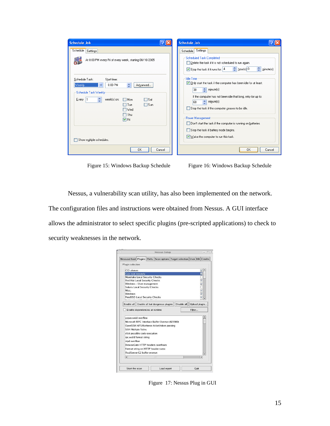| <b>Schedule Job</b>                                                                                                                                                                                                                                                   | <b>Schedule Job</b>                                                                                                                                                                                                                                                                                                                                                                                                                          |
|-----------------------------------------------------------------------------------------------------------------------------------------------------------------------------------------------------------------------------------------------------------------------|----------------------------------------------------------------------------------------------------------------------------------------------------------------------------------------------------------------------------------------------------------------------------------------------------------------------------------------------------------------------------------------------------------------------------------------------|
| Schedule<br>Settings<br>At 8:00 PM every Fri of every week, starting 08/16/2005                                                                                                                                                                                       | Settings<br>Schedule<br>Scheduled Task Completed<br>Delete the task if it is not scheduled to run again.<br>$\frac{4}{3}$ hour(s) 0<br>÷<br>$\boxed{\vee}$ Stop the task if it runs for: $\boxed{4}$<br>minute(s).                                                                                                                                                                                                                           |
| Schedule Task:<br>Start time:<br>8:00 PM<br>Weekly<br>÷<br>Advanced<br>$\checkmark$<br>Schedule Task Weekly<br>$E$ very   1<br>week(s) on:<br>$\Box$ Sat<br>$\Box$ Mon<br>$\Box$ Sun<br>$\Box$ Tue<br>⊟ Wed<br>$\Box$ Thu<br>$\nabla$ Fri<br>Show multiple schedules. | <b>Idle Time</b><br>Only start the task if the computer has been idle for at least:<br>$\leftarrow$ minute(s)<br>30<br>If the computer has not been idle that long, retry for up to:<br>minute(s)<br>÷<br>60<br>Stop the task if the computer ceases to be idle.<br>Power Management<br>Don't start the task if the computer is running on batteries.<br>Stop the task if battery mode begins.<br>$\vee$ Wake the computer to run this task. |
| 0K<br>Cancel                                                                                                                                                                                                                                                          | OK<br>Cancel                                                                                                                                                                                                                                                                                                                                                                                                                                 |

Figure 15: Windows Backup Schedule Figure 16: Windows Backup Schedule

Nessus, a vulnerability scan utility, has also been implemented on the network. The configuration files and instructions were obtained from Nessus. A GUI interface allows the administrator to select specific plugins (pre-scripted applications) to check to security weaknesses in the network.



Figure 17: Nessus Plug in GUI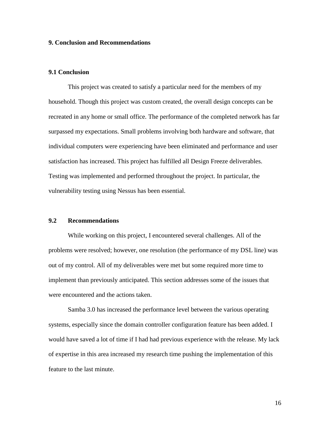#### **9. Conclusion and Recommendations**

#### **9.1 Conclusion**

This project was created to satisfy a particular need for the members of my household. Though this project was custom created, the overall design concepts can be recreated in any home or small office. The performance of the completed network has far surpassed my expectations. Small problems involving both hardware and software, that individual computers were experiencing have been eliminated and performance and user satisfaction has increased. This project has fulfilled all Design Freeze deliverables. Testing was implemented and performed throughout the project. In particular, the vulnerability testing using Nessus has been essential.

#### **9.2 Recommendations**

While working on this project, I encountered several challenges. All of the problems were resolved; however, one resolution (the performance of my DSL line) was out of my control. All of my deliverables were met but some required more time to implement than previously anticipated. This section addresses some of the issues that were encountered and the actions taken.

Samba 3.0 has increased the performance level between the various operating systems, especially since the domain controller configuration feature has been added. I would have saved a lot of time if I had had previous experience with the release. My lack of expertise in this area increased my research time pushing the implementation of this feature to the last minute.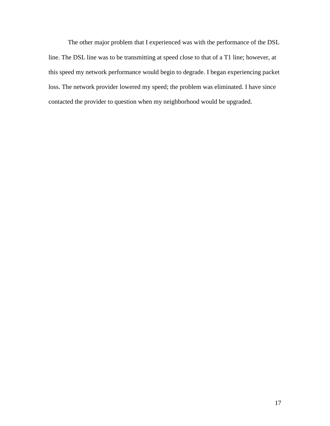The other major problem that I experienced was with the performance of the DSL line. The DSL line was to be transmitting at speed close to that of a T1 line; however, at this speed my network performance would begin to degrade. I began experiencing packet loss. The network provider lowered my speed; the problem was eliminated. I have since contacted the provider to question when my neighborhood would be upgraded.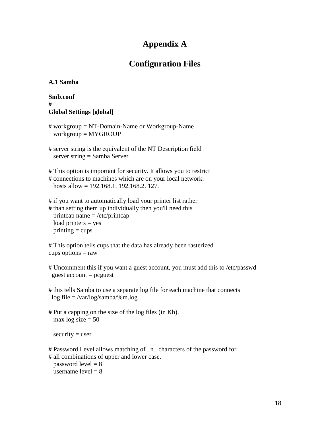# **Appendix A**

# **Configuration Files**

## **A.1 Samba**

### **Smb.conf** # **Global Settings [global]**

- # workgroup = NT-Domain-Name or Workgroup-Name workgroup = MYGROUP
- # server string is the equivalent of the NT Description field server string = Samba Server
- # This option is important for security. It allows you to restrict # connections to machines which are on your local network. hosts allow = 192.168.1. 192.168.2. 127.
- # if you want to automatically load your printer list rather
- # than setting them up individually then you'll need this printcap name = /etc/printcap load printers = yes  $printing = cups$

```
# This option tells cups that the data has already been rasterized
cups options = raw
```
- # Uncomment this if you want a guest account, you must add this to /etc/passwd  $guest account = pcguest$
- # this tells Samba to use a separate log file for each machine that connects log file = /var/log/samba/%m.log
- # Put a capping on the size of the log files (in Kb). max  $log size = 50$

 $security = user$ 

# Password Level allows matching of \_n\_ characters of the password for # all combinations of upper and lower case.

password  $level = 8$ username level  $= 8$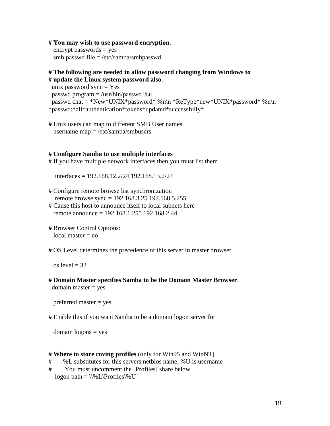#### **# You may wish to use password encryption.**

 encrypt passwords = yes smb passwd file = /etc/samba/smbpasswd

### **# The following are needed to allow password changing from Windows to # update the Linux system password also.**

unix password sync  $=$  Yes passwd program = /usr/bin/passwd %u passwd chat = \*New\*UNIX\*password\* %n\n \*ReType\*new\*UNIX\*password\* %n\n \*passwd:\*all\*authentication\*tokens\*updated\*successfully\*

# Unix users can map to different SMB User names username map = /etc/samba/smbusers

#### **# Configure Samba to use multiple interfaces**

# If you have multiple network interfaces then you must list them

interfaces = 192.168.12.2/24 192.168.13.2/24

- # Configure remote browse list synchronization remote browse sync = 192.168.3.25 192.168.5.255
- # Cause this host to announce itself to local subnets here remote announce = 192.168.1.255 192.168.2.44
- # Browser Control Options:  $local master = no$

# OS Level determines the precedence of this server in master browser

os level = 33

**# Domain Master specifies Samba to be the Domain Master Browser**.  $domain master = yes$ 

preferred master = yes

# Enable this if you want Samba to be a domain logon server for

 $domain$  logons  $=$  yes

#### # **Where to store roving profiles** (only for Win95 and WinNT)

- # %L substitutes for this servers netbios name, %U is username
- # You must uncomment the [Profiles] share below

logon path =  $\%L\Profiles\%U$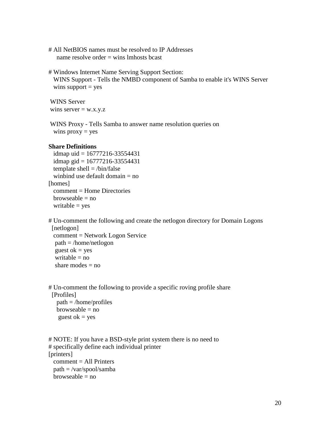# All NetBIOS names must be resolved to IP Addresses name resolve order  $=$  wins lmhosts bcast

# Windows Internet Name Serving Support Section: WINS Support - Tells the NMBD component of Samba to enable it's WINS Server wins support  $=$  yes

WINS Server wins server  $= w.x.y.z$ 

WINS Proxy - Tells Samba to answer name resolution queries on wins  $prox_y = yes$ 

#### **Share Definitions**

idmap uid  $= 16777216 - 33554431$ idmap gid =  $16777216 - 33554431$ template shell  $=$  /bin/false winbind use default domain = no [homes]  $comment = Home$  Directories  $b$ rowseable = no writable  $=$  yes

# Un-comment the following and create the netlogon directory for Domain Logons [netlogon] comment = Network Logon Service path = /home/netlogon guest o $k = yes$ writable  $=$  no share modes  $=$  no

# Un-comment the following to provide a specific roving profile share [Profiles] path = /home/profiles  $b$ rowseable = no guest o $k = ves$ 

```
# NOTE: If you have a BSD-style print system there is no need to 
# specifically define each individual printer
[printers]
  comment = All Printers
  path = /var/spool/samba
 browseable = no
```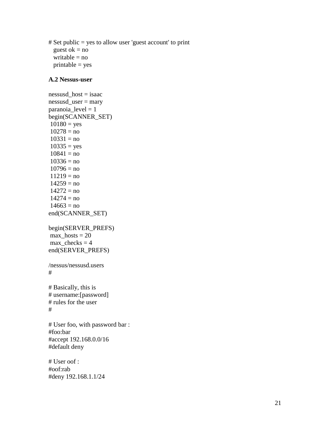# Set public = yes to allow user 'guest account' to print guest o $k = no$ writable  $=$  no  $printable = yes$ 

#### **A.2 Nessus-user**

nessusd\_host = isaac nessusd\_user = mary paranoia\_level = 1 begin(SCANNER\_SET)  $10180 = yes$  $10278 = no$  $10331 = no$  $10335 = yes$  $10841 = no$  $10336 = no$  $10796 = no$  $11219 = no$  $14259 = no$  $14272 = no$  $14274 = no$  $14663 = no$ end(SCANNER\_SET) begin(SERVER\_PREFS) max hosts  $= 20$ max checks  $= 4$ end(SERVER\_PREFS) /nessus/nessusd.users # # Basically, this is # username:[password] # rules for the user # # User foo, with password bar : #foo:bar #accept 192.168.0.0/16 #default deny # User oof : #oof:rab

#deny 192.168.1.1/24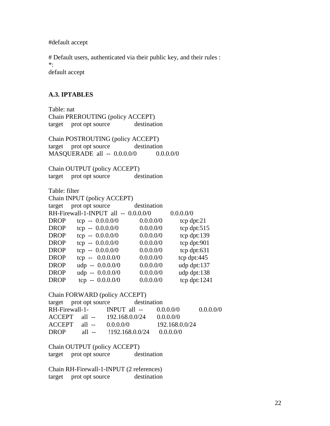#default accept

# Default users, authenticated via their public key, and their rules :  $*$ : default accept

#### **A.3. IPTABLES**

Table: nat Chain PREROUTING (policy ACCEPT) target prot opt source destination Chain POSTROUTING (policy ACCEPT) target prot opt source destination MASQUERADE all -- 0.0.0.0/0 0.0.0.0/0 Chain OUTPUT (policy ACCEPT) target prot opt source destination Table: filter Chain INPUT (policy ACCEPT) target prot opt source destination RH-Firewall-1-INPUT all -- 0.0.0.0/0 0.0.0.0/0 DROP tcp  $- 0.0.0.0/0$  0.0.0.0/0 tcp dpt:21 DROP tcp  $- 0.0.0.0/0$  0.0.0.0/0 tcp dpt:515 DROP tcp  $- 0.0.0.0/0$  0.0.0.0/0 tcp dpt:139 DROP tcp --  $0.0.0.0/0$  0.0.0.0/0 tcp dpt:901 DROP tcp --  $0.0.0.0/0$  0.0.0.0/0 tcp dpt:631 DROP tcp --  $0.0.0.0/0$  0.0.0.0/0 tcp dpt:445 DROP udp  $- 0.0.0.0/0$  0.0.0.0/0 udp dpt:137 DROP udp  $- 0.0.0.0/0$  0.0.0.0/0 udp dpt:138 DROP tcp --  $0.0.0.0/0$  0.0.0.0/0 tcp dpt:1241 Chain FORWARD (policy ACCEPT) target prot opt source destination RH-Firewall-1- INPUT all -- 0.0.0.0/0 0.0.0.0/0 ACCEPT all -- 192.168.0.0/24 0.0.0.0/0 ACCEPT all -- 0.0.0.0/0 192.168.0.0/24 DROP all -- !192.168.0.0/24 0.0.0.0/0 Chain OUTPUT (policy ACCEPT) target prot opt source destination

Chain RH-Firewall-1-INPUT (2 references) target prot opt source destination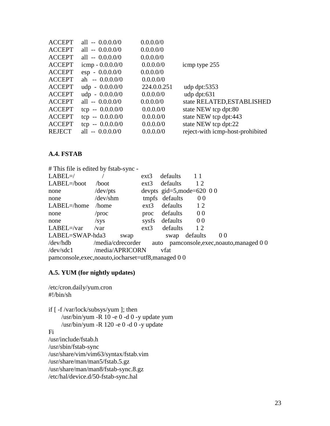| <b>ACCEPT</b> | all $- 0.0.0.0/0$        | 0.0.0.0/0   |                                  |
|---------------|--------------------------|-------------|----------------------------------|
| <b>ACCEPT</b> | all $- 0.0.0.0/0$        | 0.0.0.0/0   |                                  |
| <b>ACCEPT</b> | all $- 0.0.0.0/0$        | 0.0.0.0/0   |                                  |
| <b>ACCEPT</b> | icmp $-0.0.0.0/0$        | 0.0.0.0/0   | icmp type 255                    |
| <b>ACCEPT</b> | $\exp -0.0.000$          | 0.0.0.0/0   |                                  |
| <b>ACCEPT</b> | ah $-0.0.000$            | 0.0.0.0/0   |                                  |
| <b>ACCEPT</b> | $\text{udp} - 0.0.0.00$  | 224.0.0.251 | udp dpt: $5353$                  |
| <b>ACCEPT</b> | $\text{udp} - 0.0.0.0/0$ | 0.0.0.0/0   | udp dpt: $631$                   |
| <b>ACCEPT</b> | all $- 0.0.0.0/0$        | 0.0.0.0/0   | state RELATED, ESTABLISHED       |
| <b>ACCEPT</b> | tcp $- 0.0.000$          | 0.0.0.0/0   | state NEW tcp dpt:80             |
| <b>ACCEPT</b> | tcp $- 0.0.000$          | 0.0.0.0/0   | state NEW tcp dpt:443            |
| <b>ACCEPT</b> | tcp $- 0.0.000$          | 0.0.0.0/0   | state NEW tcp dpt:22             |
| <b>REJECT</b> | all $- 0.0.0.0/0$        | 0.0.0.0/0   | reject-with icmp-host-prohibited |
|               |                          |             |                                  |

### **A.4. FSTAB**

# This file is edited by fstab-sync - LABEL=/ / ext3 defaults 1 1 LABEL=/boot /boot ext3 defaults 1 2 none /dev/pts devpts gid=5,mode=620 0 0 none /dev/shm tmpfs defaults 0 0 LABEL=/home /home ext3 defaults 12 none /proc proc defaults 0 0 none /sys sysfs defaults 0 0 LABEL=/var /var ext3 defaults 12 LABEL=SWAP-hda3 swap swap defaults 0 0 /dev/hdb /media/cdrecorder auto pamconsole,exec,noauto,managed 0 0 /dev/sdc1 /media/APRICORN vfat pamconsole,exec,noauto,iocharset=utf8,managed 0 0

#### **A.5. YUM (for nightly updates)**

/etc/cron.daily/yum.cron #!/bin/sh

if [ -f /var/lock/subsys/yum ]; then /usr/bin/yum -R 10 -e 0 -d 0 -y update yum /usr/bin/yum -R 120 -e 0 -d 0 -y update

#### Fi

/usr/include/fstab.h /usr/sbin/fstab-sync /usr/share/vim/vim63/syntax/fstab.vim /usr/share/man/man5/fstab.5.gz /usr/share/man/man8/fstab-sync.8.gz /etc/hal/device.d/50-fstab-sync.hal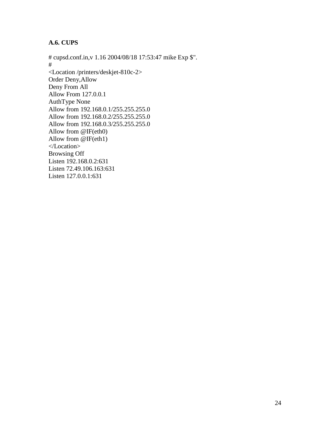# **A.6. CUPS**

# cupsd.conf.in,v 1.16 2004/08/18 17:53:47 mike Exp \$". # <Location /printers/deskjet-810c-2> Order Deny,Allow Deny From All Allow From 127.0.0.1 AuthType None Allow from 192.168.0.1/255.255.255.0 Allow from 192.168.0.2/255.255.255.0 Allow from 192.168.0.3/255.255.255.0 Allow from @IF(eth0) Allow from @IF(eth1) </Location> Browsing Off Listen 192.168.0.2:631 Listen 72.49.106.163:631 Listen 127.0.0.1:631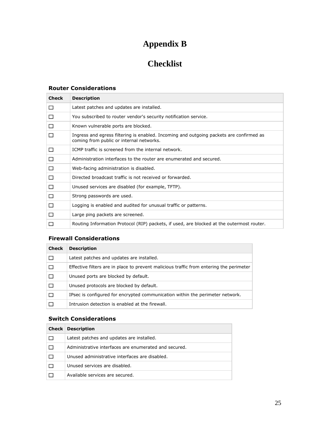# **Appendix B**

# **Checklist**

# **Router Considerations**

| <b>Check</b> | <b>Description</b>                                                                                                                  |
|--------------|-------------------------------------------------------------------------------------------------------------------------------------|
| □            | Latest patches and updates are installed.                                                                                           |
| □            | You subscribed to router vendor's security notification service.                                                                    |
| □            | Known vulnerable ports are blocked.                                                                                                 |
| П            | Ingress and egress filtering is enabled. Incoming and outgoing packets are confirmed as<br>coming from public or internal networks. |
| П            | ICMP traffic is screened from the internal network.                                                                                 |
| □            | Administration interfaces to the router are enumerated and secured.                                                                 |
| □            | Web-facing administration is disabled.                                                                                              |
| □            | Directed broadcast traffic is not received or forwarded.                                                                            |
| □            | Unused services are disabled (for example, TFTP).                                                                                   |
| □            | Strong passwords are used.                                                                                                          |
| □            | Logging is enabled and audited for unusual traffic or patterns.                                                                     |
| □            | Large ping packets are screened.                                                                                                    |
| П            | Routing Information Protocol (RIP) packets, if used, are blocked at the outermost router.                                           |

### **Firewall Considerations**

| <b>Check</b> | <b>Description</b>                                                                      |
|--------------|-----------------------------------------------------------------------------------------|
|              | Latest patches and updates are installed.                                               |
|              | Effective filters are in place to prevent malicious traffic from entering the perimeter |
|              | Unused ports are blocked by default.                                                    |
|              | Unused protocols are blocked by default.                                                |
|              | IPsec is configured for encrypted communication within the perimeter network.           |
|              | Intrusion detection is enabled at the firewall.                                         |

# **Switch Considerations**

| <b>Check Description</b>                              |
|-------------------------------------------------------|
| Latest patches and updates are installed.             |
| Administrative interfaces are enumerated and secured. |
| Unused administrative interfaces are disabled.        |
| Unused services are disabled.                         |
| Available services are secured.                       |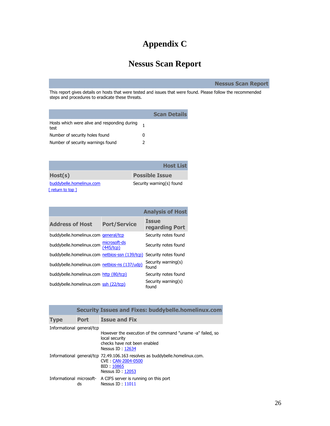# **Appendix C**

# **Nessus Scan Report**

**Nessus Scan Report**

This report gives details on hosts that were tested and issues that were found. Please follow the recommended steps and procedures to eradicate these threats.

|          | <b>Scan Details</b> |
|----------|---------------------|
|          |                     |
| $^{(1)}$ |                     |
|          |                     |
|          |                     |

|                                 | <b>Host List</b>          |
|---------------------------------|---------------------------|
| Host(s)                         | <b>Possible Issue</b>     |
| buddybelle.homelinux.com        | Security warning(s) found |
| $\lceil$ return to top $\rceil$ |                           |

|                                                                     |                           | <b>Analysis of Host</b>        |
|---------------------------------------------------------------------|---------------------------|--------------------------------|
| <b>Address of Host</b>                                              | <b>Port/Service</b>       | <b>Issue</b><br>regarding Port |
| buddybelle.homelinux.com qeneral/tcp                                |                           | Security notes found           |
| buddybelle.homelinux.com                                            | microsoft-ds<br>(445/tCD) | Security notes found           |
| buddybelle.homelinux.com netbios-ssn (139/tcp) Security notes found |                           |                                |
| buddybelle.homelinux.com netbios-ns (137/udp)                       |                           | Security warning(s)<br>found   |
| buddybelle.homelinux.com http (80/tcp)                              |                           | Security notes found           |
| buddybelle.homelinux.com ssh (22/tcp)                               |                           | Security warning(s)<br>found   |

| <b>Security Issues and Fixes: buddybelle.homelinux.com</b> |             |                                                                                                                                      |  |  |
|------------------------------------------------------------|-------------|--------------------------------------------------------------------------------------------------------------------------------------|--|--|
| <b>Type</b>                                                | <b>Port</b> | <b>Issue and Fix</b>                                                                                                                 |  |  |
| Informational general/tcp                                  |             | However the execution of the command "uname -a" failed, so<br>local security<br>checks have not been enabled<br>Nessus ID: 12634     |  |  |
|                                                            |             | Informational general/tcp 72.49.106.163 resolves as buddybelle.homelinux.com.<br>CVE CAN-2004-0500<br>BID: 10865<br>Nessus ID: 12053 |  |  |
|                                                            | ds          | Informational microsoft- A CIFS server is running on this port<br>Nessus $ID \cdot 11011$                                            |  |  |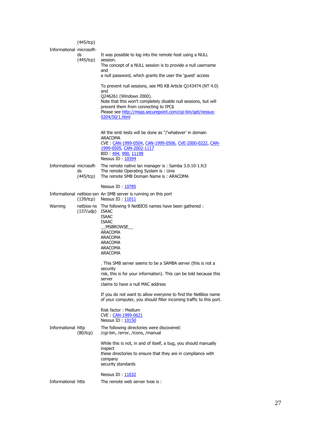|                          | $(445/\text{tcp})$ |                                                                                                                                                                                                                                                                                            |
|--------------------------|--------------------|--------------------------------------------------------------------------------------------------------------------------------------------------------------------------------------------------------------------------------------------------------------------------------------------|
| Informational microsoft- | ds<br>(445/tcp)    | It was possible to log into the remote host using a NULL<br>session.<br>The concept of a NULL session is to provide a null username<br>and<br>a null password, which grants the user the 'guest' access                                                                                    |
|                          |                    | To prevent null sessions, see MS KB Article Q143474 (NT 4.0)<br>and<br>Q246261 (Windows 2000).<br>Note that this won't completely disable null sessions, but will<br>prevent them from connecting to IPC\$<br>Please see http://msgs.securepoint.com/cgi-bin/get/nessus-<br>0204/50/1.html |
|                          |                    | All the smb tests will be done as "/'whatever' in domain<br><b>ARACOMA</b><br>CVE: CAN-1999-0504, CAN-1999-0506, CVE-2000-0222, CAN-<br>1999-0505, CAN-2002-1117<br>BID 494, 990, 11199<br>Nessus ID: 10394                                                                                |
|                          | ds<br>(445/tcp)    | Informational microsoft- The remote native lan manager is : Samba 3.0.10-1.fc3<br>The remote Operating System is: Unix<br>The remote SMB Domain Name is: ARACOMA                                                                                                                           |
|                          |                    | Nessus ID: 10785                                                                                                                                                                                                                                                                           |
|                          | (139/tcp)          | Informational netbios-ssn An SMB server is running on this port<br>Nessus ID: 11011                                                                                                                                                                                                        |
| Warning                  | (137/udp)          | netbios-ns The following 9 NetBIOS names have been gathered :<br><b>ISAAC</b><br><b>ISAAC</b><br>ISAAC<br>MSBROWSE<br>ARACOMA<br>ARACOMA<br>ARACOMA<br>ARACOMA<br><b>ARACOMA</b>                                                                                                           |
|                          |                    | . This SMB server seems to be a SAMBA server (this is not a<br>security<br>risk, this is for your information). This can be told because this<br>server<br>claims to have a null MAC address                                                                                               |
|                          |                    | If you do not want to allow everyone to find the NetBios name<br>of your computer, you should filter incoming traffic to this port.                                                                                                                                                        |
|                          |                    | Risk factor: Medium<br>CVE CAN-1999-0621<br>Nessus ID: 10150                                                                                                                                                                                                                               |
| Informational http       | $(80/\text{tcp})$  | The following directories were discovered:<br>/cgi-bin, /error, /icons, /manual                                                                                                                                                                                                            |
|                          |                    | While this is not, in and of itself, a bug, you should manually<br>inspect<br>these directories to ensure that they are in compliance with<br>company<br>security standards                                                                                                                |
|                          |                    | Nessus ID: 11032                                                                                                                                                                                                                                                                           |
| Informational http       |                    | The remote web server type is:                                                                                                                                                                                                                                                             |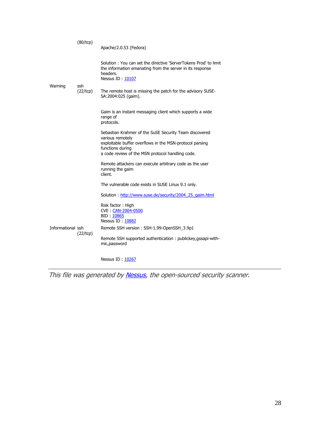|                   | (80/tcp)        | Apache/2.0.53 (Fedora)                                                                                                                                                                                         |
|-------------------|-----------------|----------------------------------------------------------------------------------------------------------------------------------------------------------------------------------------------------------------|
|                   |                 | Solution: You can set the directive 'ServerTokens Prod' to limit<br>the information emanating from the server in its response<br>headers.<br>Nessus ID: 10107                                                  |
| Warning           | ssh<br>(22/tcp) | The remote host is missing the patch for the advisory SUSE-<br>SA:2004:025 (gaim).                                                                                                                             |
|                   |                 | Gaim is an instant messaging client which supports a wide<br>range of<br>protocols.                                                                                                                            |
|                   |                 | Sebastian Krahmer of the SuSE Security Team discovered<br>various remotely<br>exploitable buffer overflows in the MSN-protocol parsing<br>functions during<br>a code review of the MSN protocol handling code. |
|                   |                 | Remote attackers can execute arbitrary code as the user<br>running the gaim<br>client.                                                                                                                         |
|                   |                 | The vulnerable code exists in SUSE Linux 9.1 only.                                                                                                                                                             |
|                   |                 | Solution: http://www.suse.de/security/2004 25 gaim.html                                                                                                                                                        |
|                   |                 | Risk factor: High<br>CVE CAN-2004-0500<br>BID: 10865<br>Nessus ID: 10882                                                                                                                                       |
| Informational ssh | (22/tcp)        | Remote SSH version: SSH-1.99-OpenSSH_3.9p1                                                                                                                                                                     |
|                   |                 | Remote SSH supported authentication: publickey, gssapi-with-<br>mic, password                                                                                                                                  |
|                   |                 | Nessus ID: 10267                                                                                                                                                                                               |

This file was generated b[y Nessus,](http://www.nessus.org/) the open-sourced security scanner.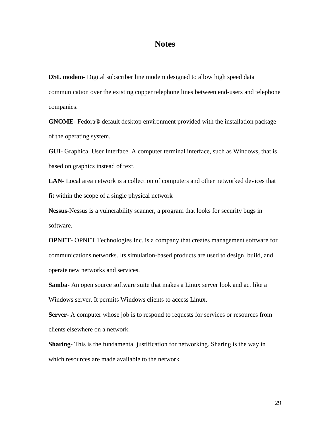# **Notes**

**DSL modem-** Digital subscriber line modem designed to allow high speed data communication over the existing copper telephone lines between end-users and telephone companies.

**GNOME**- Fedora® default desktop environment provided with the installation package of the operating system.

**GUI-** Graphical User Interface. A computer terminal interface, such as Windows, that is based on graphics instead of text.

**LAN-** Local area network is a collection of computers and other networked devices that fit within the scope of a single physical network

**Nessus-**Nessus is a vulnerability scanner, a program that looks for security bugs in software.

**OPNET-** OPNET Technologies Inc. is a company that creates management software for communications networks. Its simulation-based products are used to design, build, and operate new networks and services.

**Samba-** An open source software suite that makes a Linux server look and act like a Windows server. It permits Windows clients to access Linux.

**Server-** A computer whose job is to respond to requests for services or resources from clients elsewhere on a network.

**Sharing-** This is the fundamental justification for networking. Sharing is the way in which resources are made available to the network.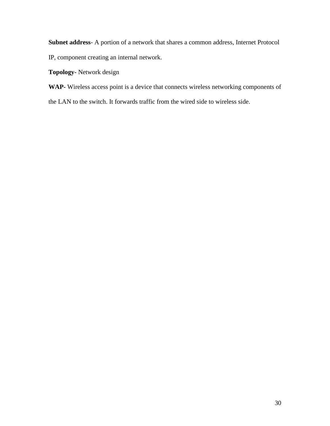**Subnet address**- A portion of a network that shares a common address, Internet Protocol

IP, component creating an internal network.

**Topology-** Network design

**WAP-** Wireless access point is a device that connects wireless networking components of

the LAN to the switch. It forwards traffic from the wired side to wireless side.